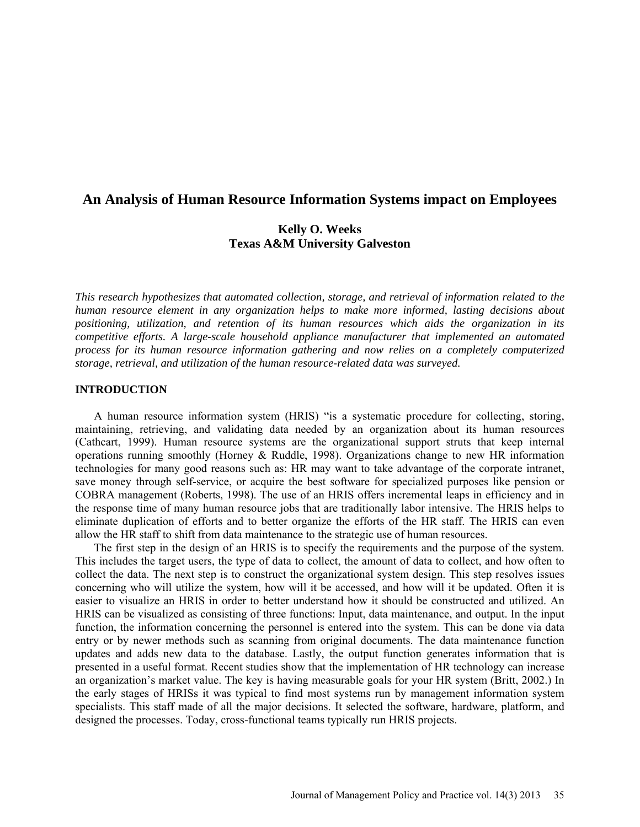# **An Analysis of Human Resource Information Systems impact on Employees**

# **Kelly O. Weeks Texas A&M University Galveston**

*This research hypothesizes that automated collection, storage, and retrieval of information related to the human resource element in any organization helps to make more informed, lasting decisions about positioning, utilization, and retention of its human resources which aids the organization in its competitive efforts. A large-scale household appliance manufacturer that implemented an automated process for its human resource information gathering and now relies on a completely computerized storage, retrieval, and utilization of the human resource-related data was surveyed.*

### **INTRODUCTION**

A human resource information system (HRIS) "is a systematic procedure for collecting, storing, maintaining, retrieving, and validating data needed by an organization about its human resources (Cathcart, 1999). Human resource systems are the organizational support struts that keep internal operations running smoothly (Horney & Ruddle, 1998). Organizations change to new HR information technologies for many good reasons such as: HR may want to take advantage of the corporate intranet, save money through self-service, or acquire the best software for specialized purposes like pension or COBRA management (Roberts, 1998). The use of an HRIS offers incremental leaps in efficiency and in the response time of many human resource jobs that are traditionally labor intensive. The HRIS helps to eliminate duplication of efforts and to better organize the efforts of the HR staff. The HRIS can even allow the HR staff to shift from data maintenance to the strategic use of human resources.

The first step in the design of an HRIS is to specify the requirements and the purpose of the system. This includes the target users, the type of data to collect, the amount of data to collect, and how often to collect the data. The next step is to construct the organizational system design. This step resolves issues concerning who will utilize the system, how will it be accessed, and how will it be updated. Often it is easier to visualize an HRIS in order to better understand how it should be constructed and utilized. An HRIS can be visualized as consisting of three functions: Input, data maintenance, and output. In the input function, the information concerning the personnel is entered into the system. This can be done via data entry or by newer methods such as scanning from original documents. The data maintenance function updates and adds new data to the database. Lastly, the output function generates information that is presented in a useful format. Recent studies show that the implementation of HR technology can increase an organization's market value. The key is having measurable goals for your HR system (Britt, 2002.) In the early stages of HRISs it was typical to find most systems run by management information system specialists. This staff made of all the major decisions. It selected the software, hardware, platform, and designed the processes. Today, cross-functional teams typically run HRIS projects.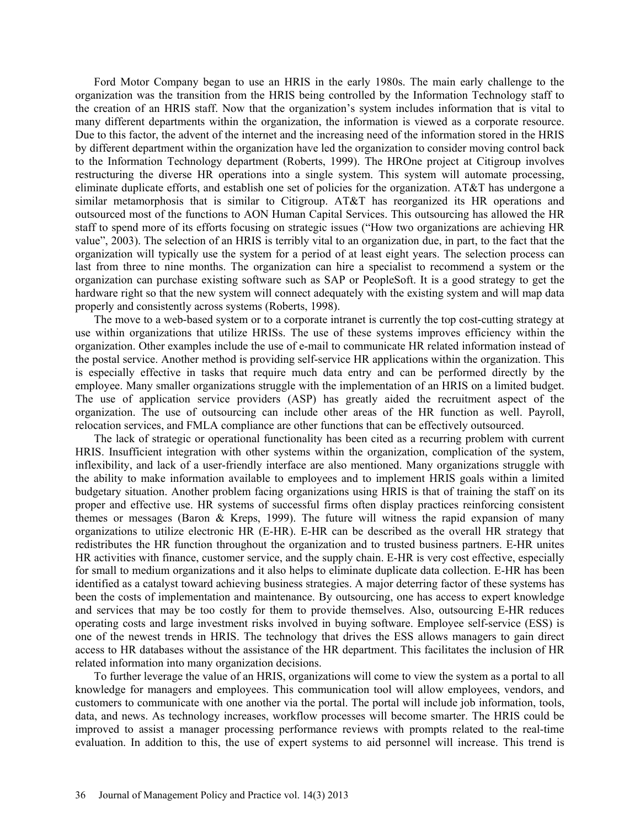Ford Motor Company began to use an HRIS in the early 1980s. The main early challenge to the organization was the transition from the HRIS being controlled by the Information Technology staff to the creation of an HRIS staff. Now that the organization's system includes information that is vital to many different departments within the organization, the information is viewed as a corporate resource. Due to this factor, the advent of the internet and the increasing need of the information stored in the HRIS by different department within the organization have led the organization to consider moving control back to the Information Technology department (Roberts, 1999). The HROne project at Citigroup involves restructuring the diverse HR operations into a single system. This system will automate processing, eliminate duplicate efforts, and establish one set of policies for the organization. AT&T has undergone a similar metamorphosis that is similar to Citigroup. AT&T has reorganized its HR operations and outsourced most of the functions to AON Human Capital Services. This outsourcing has allowed the HR staff to spend more of its efforts focusing on strategic issues ("How two organizations are achieving HR value", 2003). The selection of an HRIS is terribly vital to an organization due, in part, to the fact that the organization will typically use the system for a period of at least eight years. The selection process can last from three to nine months. The organization can hire a specialist to recommend a system or the organization can purchase existing software such as SAP or PeopleSoft. It is a good strategy to get the hardware right so that the new system will connect adequately with the existing system and will map data properly and consistently across systems (Roberts, 1998).

The move to a web-based system or to a corporate intranet is currently the top cost-cutting strategy at use within organizations that utilize HRISs. The use of these systems improves efficiency within the organization. Other examples include the use of e-mail to communicate HR related information instead of the postal service. Another method is providing self-service HR applications within the organization. This is especially effective in tasks that require much data entry and can be performed directly by the employee. Many smaller organizations struggle with the implementation of an HRIS on a limited budget. The use of application service providers (ASP) has greatly aided the recruitment aspect of the organization. The use of outsourcing can include other areas of the HR function as well. Payroll, relocation services, and FMLA compliance are other functions that can be effectively outsourced.

The lack of strategic or operational functionality has been cited as a recurring problem with current HRIS. Insufficient integration with other systems within the organization, complication of the system, inflexibility, and lack of a user-friendly interface are also mentioned. Many organizations struggle with the ability to make information available to employees and to implement HRIS goals within a limited budgetary situation. Another problem facing organizations using HRIS is that of training the staff on its proper and effective use. HR systems of successful firms often display practices reinforcing consistent themes or messages (Baron & Kreps, 1999). The future will witness the rapid expansion of many organizations to utilize electronic HR (E-HR). E-HR can be described as the overall HR strategy that redistributes the HR function throughout the organization and to trusted business partners. E-HR unites HR activities with finance, customer service, and the supply chain. E-HR is very cost effective, especially for small to medium organizations and it also helps to eliminate duplicate data collection. E-HR has been identified as a catalyst toward achieving business strategies. A major deterring factor of these systems has been the costs of implementation and maintenance. By outsourcing, one has access to expert knowledge and services that may be too costly for them to provide themselves. Also, outsourcing E-HR reduces operating costs and large investment risks involved in buying software. Employee self-service (ESS) is one of the newest trends in HRIS. The technology that drives the ESS allows managers to gain direct access to HR databases without the assistance of the HR department. This facilitates the inclusion of HR related information into many organization decisions.

To further leverage the value of an HRIS, organizations will come to view the system as a portal to all knowledge for managers and employees. This communication tool will allow employees, vendors, and customers to communicate with one another via the portal. The portal will include job information, tools, data, and news. As technology increases, workflow processes will become smarter. The HRIS could be improved to assist a manager processing performance reviews with prompts related to the real-time evaluation. In addition to this, the use of expert systems to aid personnel will increase. This trend is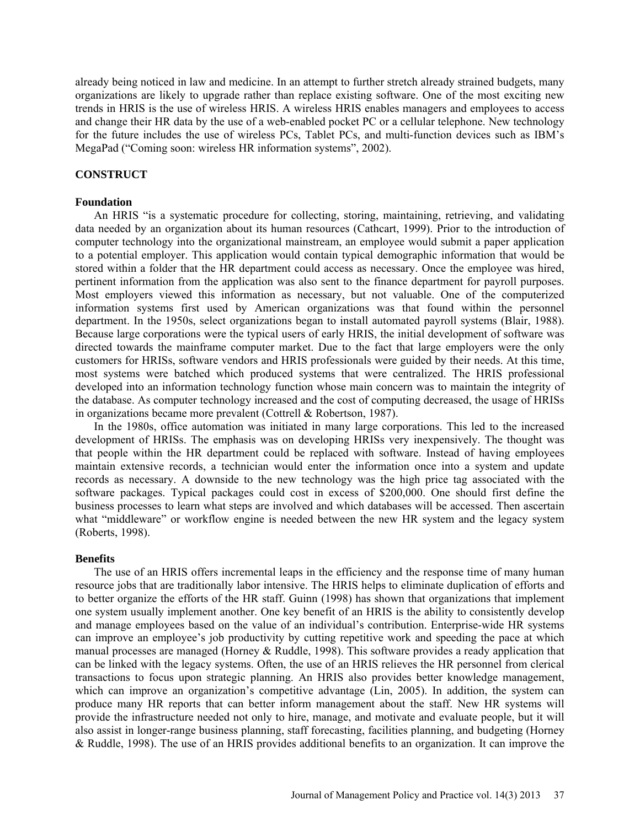already being noticed in law and medicine. In an attempt to further stretch already strained budgets, many organizations are likely to upgrade rather than replace existing software. One of the most exciting new trends in HRIS is the use of wireless HRIS. A wireless HRIS enables managers and employees to access and change their HR data by the use of a web-enabled pocket PC or a cellular telephone. New technology for the future includes the use of wireless PCs, Tablet PCs, and multi-function devices such as IBM's MegaPad ("Coming soon: wireless HR information systems", 2002).

## **CONSTRUCT**

## **Foundation**

An HRIS "is a systematic procedure for collecting, storing, maintaining, retrieving, and validating data needed by an organization about its human resources (Cathcart, 1999). Prior to the introduction of computer technology into the organizational mainstream, an employee would submit a paper application to a potential employer. This application would contain typical demographic information that would be stored within a folder that the HR department could access as necessary. Once the employee was hired, pertinent information from the application was also sent to the finance department for payroll purposes. Most employers viewed this information as necessary, but not valuable. One of the computerized information systems first used by American organizations was that found within the personnel department. In the 1950s, select organizations began to install automated payroll systems (Blair, 1988). Because large corporations were the typical users of early HRIS, the initial development of software was directed towards the mainframe computer market. Due to the fact that large employers were the only customers for HRISs, software vendors and HRIS professionals were guided by their needs. At this time, most systems were batched which produced systems that were centralized. The HRIS professional developed into an information technology function whose main concern was to maintain the integrity of the database. As computer technology increased and the cost of computing decreased, the usage of HRISs in organizations became more prevalent (Cottrell & Robertson, 1987).

In the 1980s, office automation was initiated in many large corporations. This led to the increased development of HRISs. The emphasis was on developing HRISs very inexpensively. The thought was that people within the HR department could be replaced with software. Instead of having employees maintain extensive records, a technician would enter the information once into a system and update records as necessary. A downside to the new technology was the high price tag associated with the software packages. Typical packages could cost in excess of \$200,000. One should first define the business processes to learn what steps are involved and which databases will be accessed. Then ascertain what "middleware" or workflow engine is needed between the new HR system and the legacy system (Roberts, 1998).

#### **Benefits**

The use of an HRIS offers incremental leaps in the efficiency and the response time of many human resource jobs that are traditionally labor intensive. The HRIS helps to eliminate duplication of efforts and to better organize the efforts of the HR staff. Guinn (1998) has shown that organizations that implement one system usually implement another. One key benefit of an HRIS is the ability to consistently develop and manage employees based on the value of an individual's contribution. Enterprise-wide HR systems can improve an employee's job productivity by cutting repetitive work and speeding the pace at which manual processes are managed (Horney & Ruddle, 1998). This software provides a ready application that can be linked with the legacy systems. Often, the use of an HRIS relieves the HR personnel from clerical transactions to focus upon strategic planning. An HRIS also provides better knowledge management, which can improve an organization's competitive advantage (Lin, 2005). In addition, the system can produce many HR reports that can better inform management about the staff. New HR systems will provide the infrastructure needed not only to hire, manage, and motivate and evaluate people, but it will also assist in longer-range business planning, staff forecasting, facilities planning, and budgeting (Horney & Ruddle, 1998). The use of an HRIS provides additional benefits to an organization. It can improve the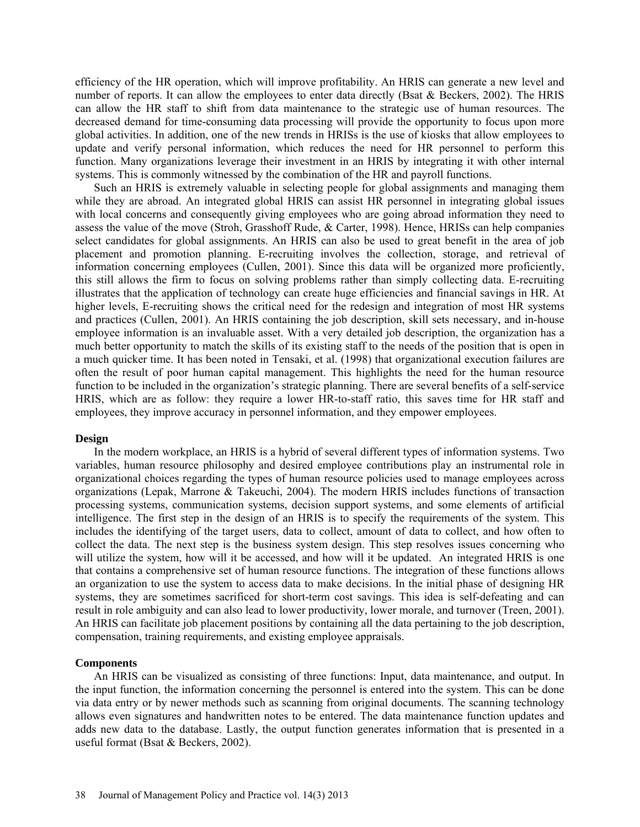efficiency of the HR operation, which will improve profitability. An HRIS can generate a new level and number of reports. It can allow the employees to enter data directly (Bsat & Beckers, 2002). The HRIS can allow the HR staff to shift from data maintenance to the strategic use of human resources. The decreased demand for time-consuming data processing will provide the opportunity to focus upon more global activities. In addition, one of the new trends in HRISs is the use of kiosks that allow employees to update and verify personal information, which reduces the need for HR personnel to perform this function. Many organizations leverage their investment in an HRIS by integrating it with other internal systems. This is commonly witnessed by the combination of the HR and payroll functions.

Such an HRIS is extremely valuable in selecting people for global assignments and managing them while they are abroad. An integrated global HRIS can assist HR personnel in integrating global issues with local concerns and consequently giving employees who are going abroad information they need to assess the value of the move (Stroh, Grasshoff Rude, & Carter, 1998). Hence, HRISs can help companies select candidates for global assignments. An HRIS can also be used to great benefit in the area of job placement and promotion planning. E-recruiting involves the collection, storage, and retrieval of information concerning employees (Cullen, 2001). Since this data will be organized more proficiently, this still allows the firm to focus on solving problems rather than simply collecting data. E-recruiting illustrates that the application of technology can create huge efficiencies and financial savings in HR. At higher levels, E-recruiting shows the critical need for the redesign and integration of most HR systems and practices (Cullen, 2001). An HRIS containing the job description, skill sets necessary, and in-house employee information is an invaluable asset. With a very detailed job description, the organization has a much better opportunity to match the skills of its existing staff to the needs of the position that is open in a much quicker time. It has been noted in Tensaki, et al. (1998) that organizational execution failures are often the result of poor human capital management. This highlights the need for the human resource function to be included in the organization's strategic planning. There are several benefits of a self-service HRIS, which are as follow: they require a lower HR-to-staff ratio, this saves time for HR staff and employees, they improve accuracy in personnel information, and they empower employees.

#### **Design**

In the modern workplace, an HRIS is a hybrid of several different types of information systems. Two variables, human resource philosophy and desired employee contributions play an instrumental role in organizational choices regarding the types of human resource policies used to manage employees across organizations (Lepak, Marrone & Takeuchi, 2004). The modern HRIS includes functions of transaction processing systems, communication systems, decision support systems, and some elements of artificial intelligence. The first step in the design of an HRIS is to specify the requirements of the system. This includes the identifying of the target users, data to collect, amount of data to collect, and how often to collect the data. The next step is the business system design. This step resolves issues concerning who will utilize the system, how will it be accessed, and how will it be updated. An integrated HRIS is one that contains a comprehensive set of human resource functions. The integration of these functions allows an organization to use the system to access data to make decisions. In the initial phase of designing HR systems, they are sometimes sacrificed for short-term cost savings. This idea is self-defeating and can result in role ambiguity and can also lead to lower productivity, lower morale, and turnover (Treen, 2001). An HRIS can facilitate job placement positions by containing all the data pertaining to the job description, compensation, training requirements, and existing employee appraisals.

#### **Components**

An HRIS can be visualized as consisting of three functions: Input, data maintenance, and output. In the input function, the information concerning the personnel is entered into the system. This can be done via data entry or by newer methods such as scanning from original documents. The scanning technology allows even signatures and handwritten notes to be entered. The data maintenance function updates and adds new data to the database. Lastly, the output function generates information that is presented in a useful format (Bsat & Beckers, 2002).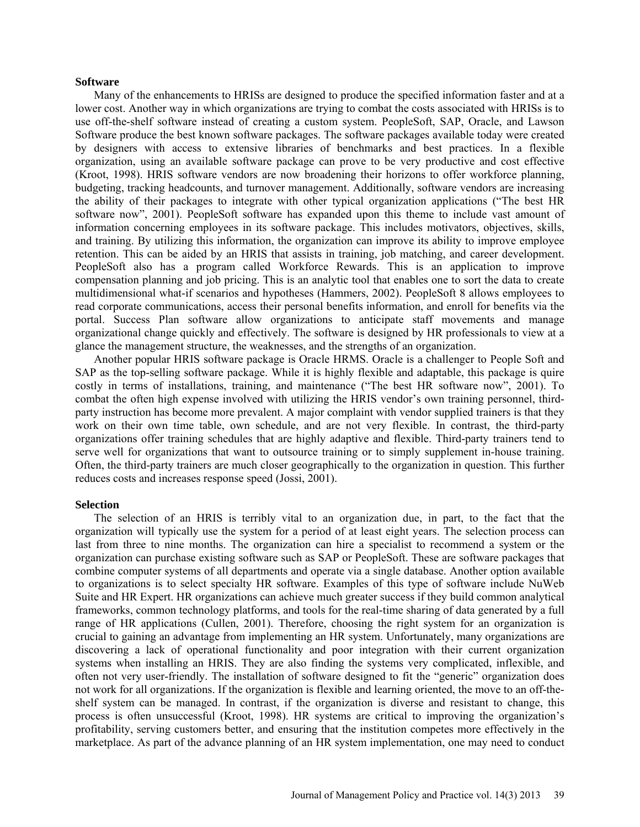#### **Software**

Many of the enhancements to HRISs are designed to produce the specified information faster and at a lower cost. Another way in which organizations are trying to combat the costs associated with HRISs is to use off-the-shelf software instead of creating a custom system. PeopleSoft, SAP, Oracle, and Lawson Software produce the best known software packages. The software packages available today were created by designers with access to extensive libraries of benchmarks and best practices. In a flexible organization, using an available software package can prove to be very productive and cost effective (Kroot, 1998). HRIS software vendors are now broadening their horizons to offer workforce planning, budgeting, tracking headcounts, and turnover management. Additionally, software vendors are increasing the ability of their packages to integrate with other typical organization applications ("The best HR software now", 2001). PeopleSoft software has expanded upon this theme to include vast amount of information concerning employees in its software package. This includes motivators, objectives, skills, and training. By utilizing this information, the organization can improve its ability to improve employee retention. This can be aided by an HRIS that assists in training, job matching, and career development. PeopleSoft also has a program called Workforce Rewards. This is an application to improve compensation planning and job pricing. This is an analytic tool that enables one to sort the data to create multidimensional what-if scenarios and hypotheses (Hammers, 2002). PeopleSoft 8 allows employees to read corporate communications, access their personal benefits information, and enroll for benefits via the portal. Success Plan software allow organizations to anticipate staff movements and manage organizational change quickly and effectively. The software is designed by HR professionals to view at a glance the management structure, the weaknesses, and the strengths of an organization.

Another popular HRIS software package is Oracle HRMS. Oracle is a challenger to People Soft and SAP as the top-selling software package. While it is highly flexible and adaptable, this package is quire costly in terms of installations, training, and maintenance ("The best HR software now", 2001). To combat the often high expense involved with utilizing the HRIS vendor's own training personnel, thirdparty instruction has become more prevalent. A major complaint with vendor supplied trainers is that they work on their own time table, own schedule, and are not very flexible. In contrast, the third-party organizations offer training schedules that are highly adaptive and flexible. Third-party trainers tend to serve well for organizations that want to outsource training or to simply supplement in-house training. Often, the third-party trainers are much closer geographically to the organization in question. This further reduces costs and increases response speed (Jossi, 2001).

#### **Selection**

The selection of an HRIS is terribly vital to an organization due, in part, to the fact that the organization will typically use the system for a period of at least eight years. The selection process can last from three to nine months. The organization can hire a specialist to recommend a system or the organization can purchase existing software such as SAP or PeopleSoft. These are software packages that combine computer systems of all departments and operate via a single database. Another option available to organizations is to select specialty HR software. Examples of this type of software include NuWeb Suite and HR Expert. HR organizations can achieve much greater success if they build common analytical frameworks, common technology platforms, and tools for the real-time sharing of data generated by a full range of HR applications (Cullen, 2001). Therefore, choosing the right system for an organization is crucial to gaining an advantage from implementing an HR system. Unfortunately, many organizations are discovering a lack of operational functionality and poor integration with their current organization systems when installing an HRIS. They are also finding the systems very complicated, inflexible, and often not very user-friendly. The installation of software designed to fit the "generic" organization does not work for all organizations. If the organization is flexible and learning oriented, the move to an off-theshelf system can be managed. In contrast, if the organization is diverse and resistant to change, this process is often unsuccessful (Kroot, 1998). HR systems are critical to improving the organization's profitability, serving customers better, and ensuring that the institution competes more effectively in the marketplace. As part of the advance planning of an HR system implementation, one may need to conduct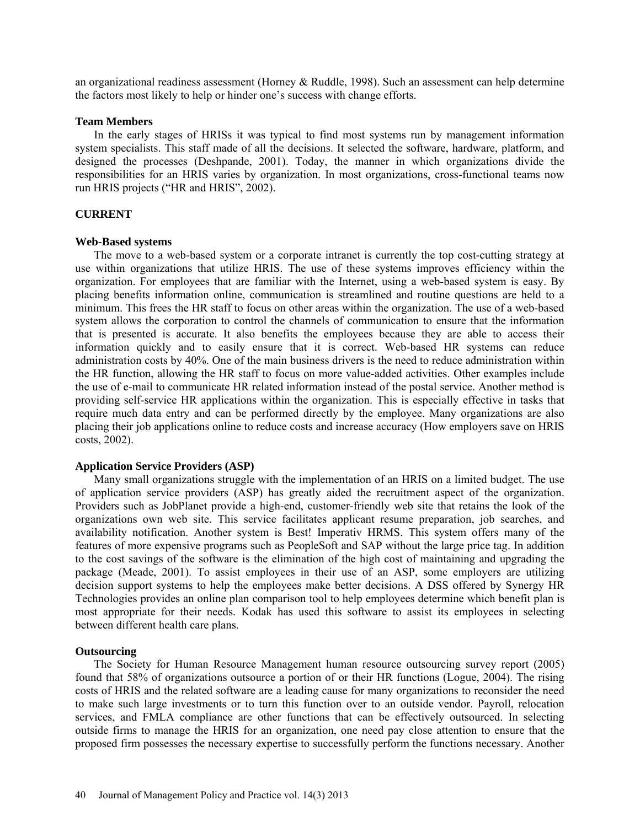an organizational readiness assessment (Horney & Ruddle, 1998). Such an assessment can help determine the factors most likely to help or hinder one's success with change efforts.

#### **Team Members**

In the early stages of HRISs it was typical to find most systems run by management information system specialists. This staff made of all the decisions. It selected the software, hardware, platform, and designed the processes (Deshpande, 2001). Today, the manner in which organizations divide the responsibilities for an HRIS varies by organization. In most organizations, cross-functional teams now run HRIS projects ("HR and HRIS", 2002).

## **CURRENT**

#### **Web-Based systems**

The move to a web-based system or a corporate intranet is currently the top cost-cutting strategy at use within organizations that utilize HRIS. The use of these systems improves efficiency within the organization. For employees that are familiar with the Internet, using a web-based system is easy. By placing benefits information online, communication is streamlined and routine questions are held to a minimum. This frees the HR staff to focus on other areas within the organization. The use of a web-based system allows the corporation to control the channels of communication to ensure that the information that is presented is accurate. It also benefits the employees because they are able to access their information quickly and to easily ensure that it is correct. Web-based HR systems can reduce administration costs by 40%. One of the main business drivers is the need to reduce administration within the HR function, allowing the HR staff to focus on more value-added activities. Other examples include the use of e-mail to communicate HR related information instead of the postal service. Another method is providing self-service HR applications within the organization. This is especially effective in tasks that require much data entry and can be performed directly by the employee. Many organizations are also placing their job applications online to reduce costs and increase accuracy (How employers save on HRIS costs, 2002).

### **Application Service Providers (ASP)**

Many small organizations struggle with the implementation of an HRIS on a limited budget. The use of application service providers (ASP) has greatly aided the recruitment aspect of the organization. Providers such as JobPlanet provide a high-end, customer-friendly web site that retains the look of the organizations own web site. This service facilitates applicant resume preparation, job searches, and availability notification. Another system is Best! Imperativ HRMS. This system offers many of the features of more expensive programs such as PeopleSoft and SAP without the large price tag. In addition to the cost savings of the software is the elimination of the high cost of maintaining and upgrading the package (Meade, 2001). To assist employees in their use of an ASP, some employers are utilizing decision support systems to help the employees make better decisions. A DSS offered by Synergy HR Technologies provides an online plan comparison tool to help employees determine which benefit plan is most appropriate for their needs. Kodak has used this software to assist its employees in selecting between different health care plans.

#### **Outsourcing**

The Society for Human Resource Management human resource outsourcing survey report (2005) found that 58% of organizations outsource a portion of or their HR functions (Logue, 2004). The rising costs of HRIS and the related software are a leading cause for many organizations to reconsider the need to make such large investments or to turn this function over to an outside vendor. Payroll, relocation services, and FMLA compliance are other functions that can be effectively outsourced. In selecting outside firms to manage the HRIS for an organization, one need pay close attention to ensure that the proposed firm possesses the necessary expertise to successfully perform the functions necessary. Another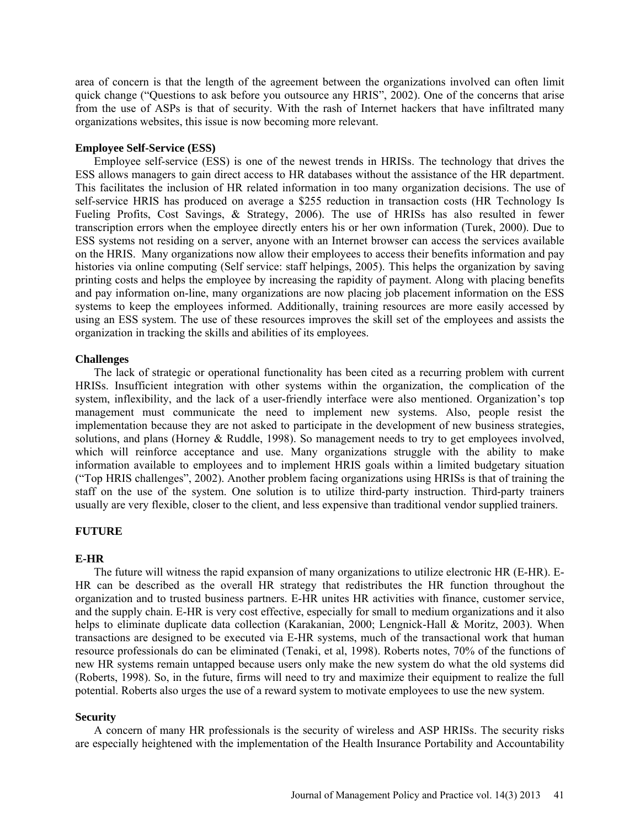area of concern is that the length of the agreement between the organizations involved can often limit quick change ("Questions to ask before you outsource any HRIS", 2002). One of the concerns that arise from the use of ASPs is that of security. With the rash of Internet hackers that have infiltrated many organizations websites, this issue is now becoming more relevant.

### **Employee Self-Service (ESS)**

Employee self-service (ESS) is one of the newest trends in HRISs. The technology that drives the ESS allows managers to gain direct access to HR databases without the assistance of the HR department. This facilitates the inclusion of HR related information in too many organization decisions. The use of self-service HRIS has produced on average a \$255 reduction in transaction costs (HR Technology Is Fueling Profits, Cost Savings, & Strategy, 2006). The use of HRISs has also resulted in fewer transcription errors when the employee directly enters his or her own information (Turek, 2000). Due to ESS systems not residing on a server, anyone with an Internet browser can access the services available on the HRIS. Many organizations now allow their employees to access their benefits information and pay histories via online computing (Self service: staff helpings, 2005). This helps the organization by saving printing costs and helps the employee by increasing the rapidity of payment. Along with placing benefits and pay information on-line, many organizations are now placing job placement information on the ESS systems to keep the employees informed. Additionally, training resources are more easily accessed by using an ESS system. The use of these resources improves the skill set of the employees and assists the organization in tracking the skills and abilities of its employees.

### **Challenges**

The lack of strategic or operational functionality has been cited as a recurring problem with current HRISs. Insufficient integration with other systems within the organization, the complication of the system, inflexibility, and the lack of a user-friendly interface were also mentioned. Organization's top management must communicate the need to implement new systems. Also, people resist the implementation because they are not asked to participate in the development of new business strategies, solutions, and plans (Horney & Ruddle, 1998). So management needs to try to get employees involved, which will reinforce acceptance and use. Many organizations struggle with the ability to make information available to employees and to implement HRIS goals within a limited budgetary situation ("Top HRIS challenges", 2002). Another problem facing organizations using HRISs is that of training the staff on the use of the system. One solution is to utilize third-party instruction. Third-party trainers usually are very flexible, closer to the client, and less expensive than traditional vendor supplied trainers.

## **FUTURE**

#### **E-HR**

The future will witness the rapid expansion of many organizations to utilize electronic HR (E-HR). E-HR can be described as the overall HR strategy that redistributes the HR function throughout the organization and to trusted business partners. E-HR unites HR activities with finance, customer service, and the supply chain. E-HR is very cost effective, especially for small to medium organizations and it also helps to eliminate duplicate data collection (Karakanian, 2000; Lengnick-Hall & Moritz, 2003). When transactions are designed to be executed via E-HR systems, much of the transactional work that human resource professionals do can be eliminated (Tenaki, et al, 1998). Roberts notes, 70% of the functions of new HR systems remain untapped because users only make the new system do what the old systems did (Roberts, 1998). So, in the future, firms will need to try and maximize their equipment to realize the full potential. Roberts also urges the use of a reward system to motivate employees to use the new system.

## **Security**

A concern of many HR professionals is the security of wireless and ASP HRISs. The security risks are especially heightened with the implementation of the Health Insurance Portability and Accountability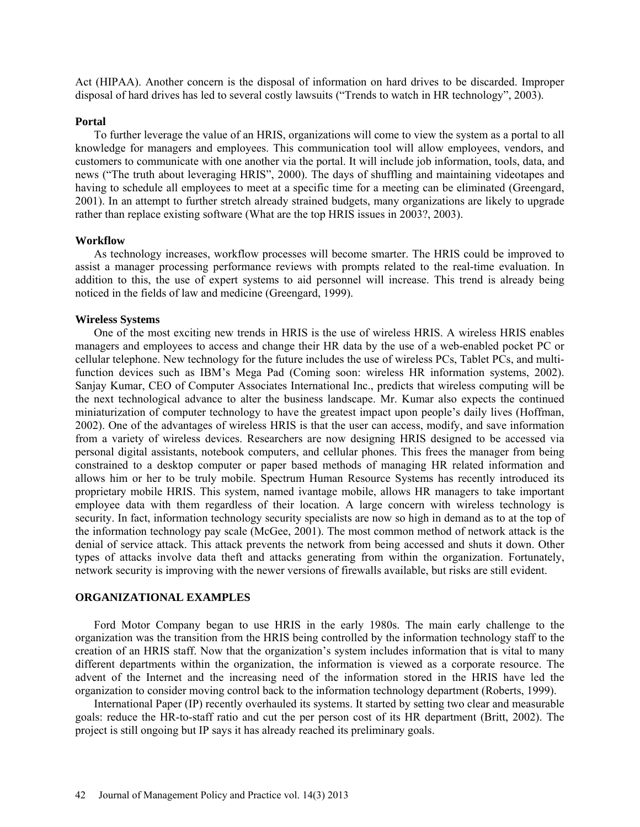Act (HIPAA). Another concern is the disposal of information on hard drives to be discarded. Improper disposal of hard drives has led to several costly lawsuits ("Trends to watch in HR technology", 2003).

### **Portal**

To further leverage the value of an HRIS, organizations will come to view the system as a portal to all knowledge for managers and employees. This communication tool will allow employees, vendors, and customers to communicate with one another via the portal. It will include job information, tools, data, and news ("The truth about leveraging HRIS", 2000). The days of shuffling and maintaining videotapes and having to schedule all employees to meet at a specific time for a meeting can be eliminated (Greengard, 2001). In an attempt to further stretch already strained budgets, many organizations are likely to upgrade rather than replace existing software (What are the top HRIS issues in 2003?, 2003).

## **Workflow**

As technology increases, workflow processes will become smarter. The HRIS could be improved to assist a manager processing performance reviews with prompts related to the real-time evaluation. In addition to this, the use of expert systems to aid personnel will increase. This trend is already being noticed in the fields of law and medicine (Greengard, 1999).

### **Wireless Systems**

One of the most exciting new trends in HRIS is the use of wireless HRIS. A wireless HRIS enables managers and employees to access and change their HR data by the use of a web-enabled pocket PC or cellular telephone. New technology for the future includes the use of wireless PCs, Tablet PCs, and multifunction devices such as IBM's Mega Pad (Coming soon: wireless HR information systems, 2002). Sanjay Kumar, CEO of Computer Associates International Inc., predicts that wireless computing will be the next technological advance to alter the business landscape. Mr. Kumar also expects the continued miniaturization of computer technology to have the greatest impact upon people's daily lives (Hoffman, 2002). One of the advantages of wireless HRIS is that the user can access, modify, and save information from a variety of wireless devices. Researchers are now designing HRIS designed to be accessed via personal digital assistants, notebook computers, and cellular phones. This frees the manager from being constrained to a desktop computer or paper based methods of managing HR related information and allows him or her to be truly mobile. Spectrum Human Resource Systems has recently introduced its proprietary mobile HRIS. This system, named ivantage mobile, allows HR managers to take important employee data with them regardless of their location. A large concern with wireless technology is security. In fact, information technology security specialists are now so high in demand as to at the top of the information technology pay scale (McGee, 2001). The most common method of network attack is the denial of service attack. This attack prevents the network from being accessed and shuts it down. Other types of attacks involve data theft and attacks generating from within the organization. Fortunately, network security is improving with the newer versions of firewalls available, but risks are still evident.

## **ORGANIZATIONAL EXAMPLES**

Ford Motor Company began to use HRIS in the early 1980s. The main early challenge to the organization was the transition from the HRIS being controlled by the information technology staff to the creation of an HRIS staff. Now that the organization's system includes information that is vital to many different departments within the organization, the information is viewed as a corporate resource. The advent of the Internet and the increasing need of the information stored in the HRIS have led the organization to consider moving control back to the information technology department (Roberts, 1999).

International Paper (IP) recently overhauled its systems. It started by setting two clear and measurable goals: reduce the HR-to-staff ratio and cut the per person cost of its HR department (Britt, 2002). The project is still ongoing but IP says it has already reached its preliminary goals.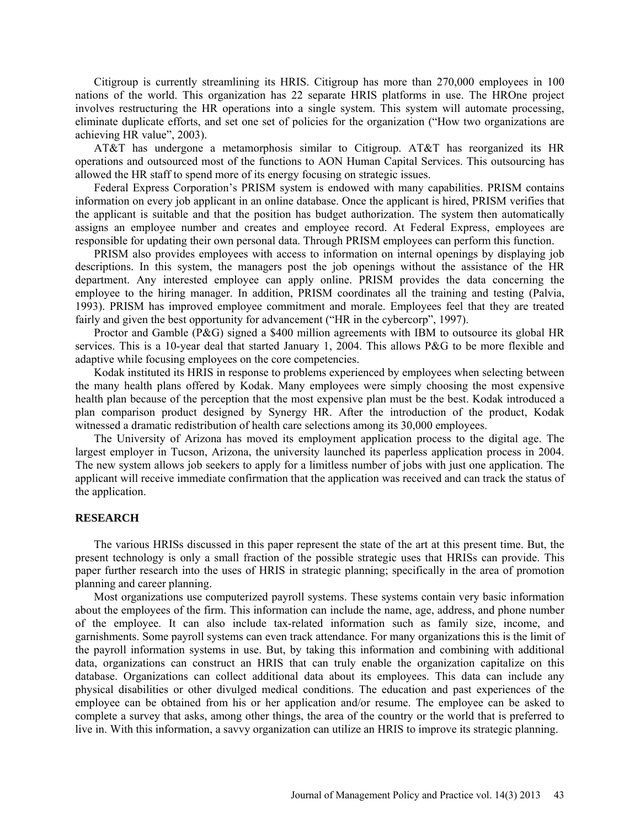Citigroup is currently streamlining its HRIS. Citigroup has more than 270,000 employees in 100 nations of the world. This organization has 22 separate HRIS platforms in use. The HROne project involves restructuring the HR operations into a single system. This system will automate processing, eliminate duplicate efforts, and set one set of policies for the organization ("How two organizations are achieving HR value", 2003).

AT&T has undergone a metamorphosis similar to Citigroup. AT&T has reorganized its HR operations and outsourced most of the functions to AON Human Capital Services. This outsourcing has allowed the HR staff to spend more of its energy focusing on strategic issues.

Federal Express Corporation's PRISM system is endowed with many capabilities. PRISM contains information on every job applicant in an online database. Once the applicant is hired, PRISM verifies that the applicant is suitable and that the position has budget authorization. The system then automatically assigns an employee number and creates and employee record. At Federal Express, employees are responsible for updating their own personal data. Through PRISM employees can perform this function.

PRISM also provides employees with access to information on internal openings by displaying job descriptions. In this system, the managers post the job openings without the assistance of the HR department. Any interested employee can apply online. PRISM provides the data concerning the employee to the hiring manager. In addition, PRISM coordinates all the training and testing (Palvia, 1993). PRISM has improved employee commitment and morale. Employees feel that they are treated fairly and given the best opportunity for advancement ("HR in the cybercorp", 1997).

Proctor and Gamble (P&G) signed a \$400 million agreements with IBM to outsource its global HR services. This is a 10-year deal that started January 1, 2004. This allows P&G to be more flexible and adaptive while focusing employees on the core competencies.

Kodak instituted its HRIS in response to problems experienced by employees when selecting between the many health plans offered by Kodak. Many employees were simply choosing the most expensive health plan because of the perception that the most expensive plan must be the best. Kodak introduced a plan comparison product designed by Synergy HR. After the introduction of the product, Kodak witnessed a dramatic redistribution of health care selections among its 30,000 employees.

The University of Arizona has moved its employment application process to the digital age. The largest employer in Tucson, Arizona, the university launched its paperless application process in 2004. The new system allows job seekers to apply for a limitless number of jobs with just one application. The applicant will receive immediate confirmation that the application was received and can track the status of the application.

#### **RESEARCH**

The various HRISs discussed in this paper represent the state of the art at this present time. But, the present technology is only a small fraction of the possible strategic uses that HRISs can provide. This paper further research into the uses of HRIS in strategic planning; specifically in the area of promotion planning and career planning.

Most organizations use computerized payroll systems. These systems contain very basic information about the employees of the firm. This information can include the name, age, address, and phone number of the employee. It can also include tax-related information such as family size, income, and garnishments. Some payroll systems can even track attendance. For many organizations this is the limit of the payroll information systems in use. But, by taking this information and combining with additional data, organizations can construct an HRIS that can truly enable the organization capitalize on this database. Organizations can collect additional data about its employees. This data can include any physical disabilities or other divulged medical conditions. The education and past experiences of the employee can be obtained from his or her application and/or resume. The employee can be asked to complete a survey that asks, among other things, the area of the country or the world that is preferred to live in. With this information, a savvy organization can utilize an HRIS to improve its strategic planning.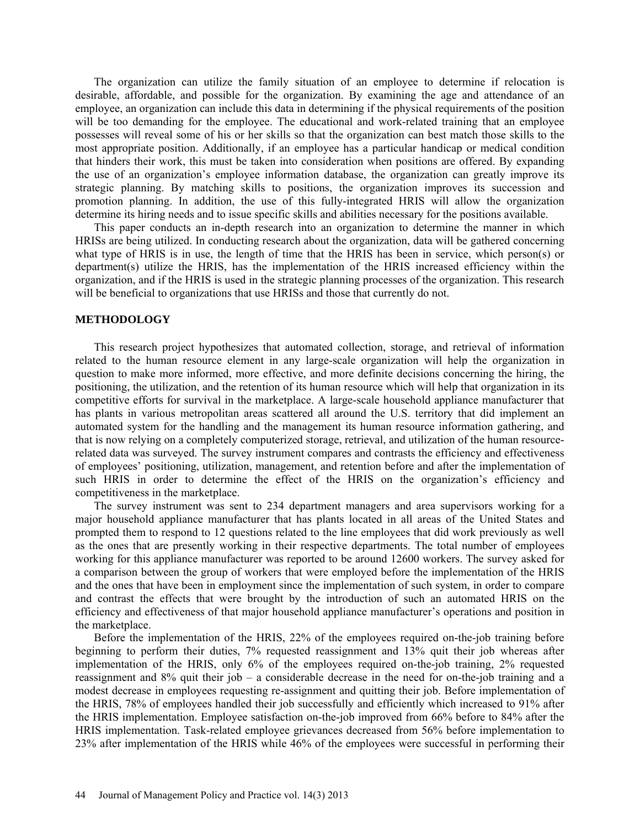The organization can utilize the family situation of an employee to determine if relocation is desirable, affordable, and possible for the organization. By examining the age and attendance of an employee, an organization can include this data in determining if the physical requirements of the position will be too demanding for the employee. The educational and work-related training that an employee possesses will reveal some of his or her skills so that the organization can best match those skills to the most appropriate position. Additionally, if an employee has a particular handicap or medical condition that hinders their work, this must be taken into consideration when positions are offered. By expanding the use of an organization's employee information database, the organization can greatly improve its strategic planning. By matching skills to positions, the organization improves its succession and promotion planning. In addition, the use of this fully-integrated HRIS will allow the organization determine its hiring needs and to issue specific skills and abilities necessary for the positions available.

This paper conducts an in-depth research into an organization to determine the manner in which HRISs are being utilized. In conducting research about the organization, data will be gathered concerning what type of HRIS is in use, the length of time that the HRIS has been in service, which person(s) or department(s) utilize the HRIS, has the implementation of the HRIS increased efficiency within the organization, and if the HRIS is used in the strategic planning processes of the organization. This research will be beneficial to organizations that use HRISs and those that currently do not.

### **METHODOLOGY**

This research project hypothesizes that automated collection, storage, and retrieval of information related to the human resource element in any large-scale organization will help the organization in question to make more informed, more effective, and more definite decisions concerning the hiring, the positioning, the utilization, and the retention of its human resource which will help that organization in its competitive efforts for survival in the marketplace. A large-scale household appliance manufacturer that has plants in various metropolitan areas scattered all around the U.S. territory that did implement an automated system for the handling and the management its human resource information gathering, and that is now relying on a completely computerized storage, retrieval, and utilization of the human resourcerelated data was surveyed. The survey instrument compares and contrasts the efficiency and effectiveness of employees' positioning, utilization, management, and retention before and after the implementation of such HRIS in order to determine the effect of the HRIS on the organization's efficiency and competitiveness in the marketplace.

The survey instrument was sent to 234 department managers and area supervisors working for a major household appliance manufacturer that has plants located in all areas of the United States and prompted them to respond to 12 questions related to the line employees that did work previously as well as the ones that are presently working in their respective departments. The total number of employees working for this appliance manufacturer was reported to be around 12600 workers. The survey asked for a comparison between the group of workers that were employed before the implementation of the HRIS and the ones that have been in employment since the implementation of such system, in order to compare and contrast the effects that were brought by the introduction of such an automated HRIS on the efficiency and effectiveness of that major household appliance manufacturer's operations and position in the marketplace.

Before the implementation of the HRIS, 22% of the employees required on-the-job training before beginning to perform their duties, 7% requested reassignment and 13% quit their job whereas after implementation of the HRIS, only 6% of the employees required on-the-job training, 2% requested reassignment and 8% quit their job – a considerable decrease in the need for on-the-job training and a modest decrease in employees requesting re-assignment and quitting their job. Before implementation of the HRIS, 78% of employees handled their job successfully and efficiently which increased to 91% after the HRIS implementation. Employee satisfaction on-the-job improved from 66% before to 84% after the HRIS implementation. Task-related employee grievances decreased from 56% before implementation to 23% after implementation of the HRIS while 46% of the employees were successful in performing their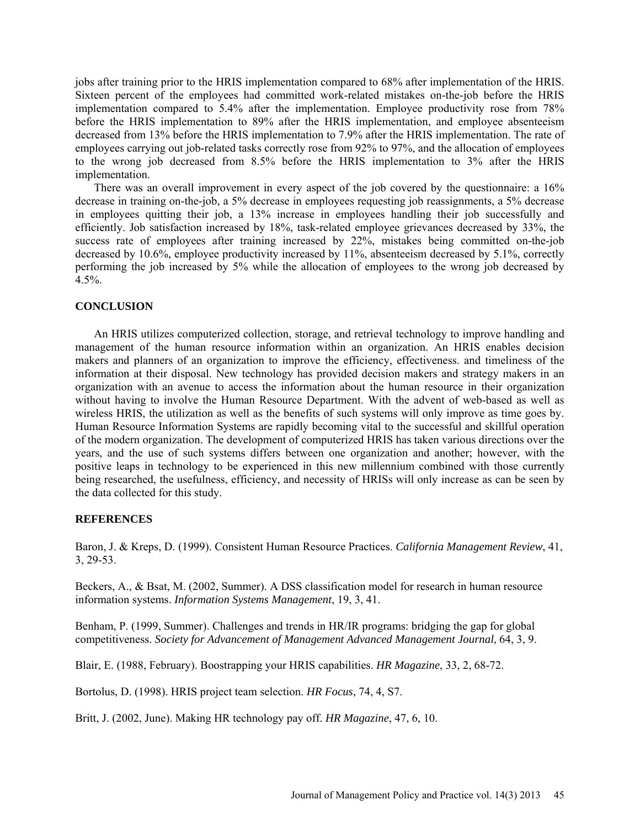jobs after training prior to the HRIS implementation compared to 68% after implementation of the HRIS. Sixteen percent of the employees had committed work-related mistakes on-the-job before the HRIS implementation compared to 5.4% after the implementation. Employee productivity rose from 78% before the HRIS implementation to 89% after the HRIS implementation, and employee absenteeism decreased from 13% before the HRIS implementation to 7.9% after the HRIS implementation. The rate of employees carrying out job-related tasks correctly rose from 92% to 97%, and the allocation of employees to the wrong job decreased from 8.5% before the HRIS implementation to 3% after the HRIS implementation.

There was an overall improvement in every aspect of the job covered by the questionnaire: a 16% decrease in training on-the-job, a 5% decrease in employees requesting job reassignments, a 5% decrease in employees quitting their job, a 13% increase in employees handling their job successfully and efficiently. Job satisfaction increased by 18%, task-related employee grievances decreased by 33%, the success rate of employees after training increased by 22%, mistakes being committed on-the-job decreased by 10.6%, employee productivity increased by 11%, absenteeism decreased by 5.1%, correctly performing the job increased by 5% while the allocation of employees to the wrong job decreased by 4.5%.

## **CONCLUSION**

An HRIS utilizes computerized collection, storage, and retrieval technology to improve handling and management of the human resource information within an organization. An HRIS enables decision makers and planners of an organization to improve the efficiency, effectiveness. and timeliness of the information at their disposal. New technology has provided decision makers and strategy makers in an organization with an avenue to access the information about the human resource in their organization without having to involve the Human Resource Department. With the advent of web-based as well as wireless HRIS, the utilization as well as the benefits of such systems will only improve as time goes by. Human Resource Information Systems are rapidly becoming vital to the successful and skillful operation of the modern organization. The development of computerized HRIS has taken various directions over the years, and the use of such systems differs between one organization and another; however, with the positive leaps in technology to be experienced in this new millennium combined with those currently being researched, the usefulness, efficiency, and necessity of HRISs will only increase as can be seen by the data collected for this study.

## **REFERENCES**

Baron, J. & Kreps, D. (1999). Consistent Human Resource Practices. *California Management Review*, 41, 3, 29-53.

Beckers, A., & Bsat, M. (2002, Summer). A DSS classification model for research in human resource information systems. *Information Systems Management*, 19, 3, 41.

Benham, P. (1999, Summer). Challenges and trends in HR/IR programs: bridging the gap for global competitiveness. *Society for Advancement of Management Advanced Management Journal*, 64, 3, 9.

Blair, E. (1988, February). Boostrapping your HRIS capabilities. *HR Magazine*, 33, 2, 68-72.

Bortolus, D. (1998). HRIS project team selection. *HR Focus*, 74, 4, S7.

Britt, J. (2002, June). Making HR technology pay off. *HR Magazine*, 47, 6, 10.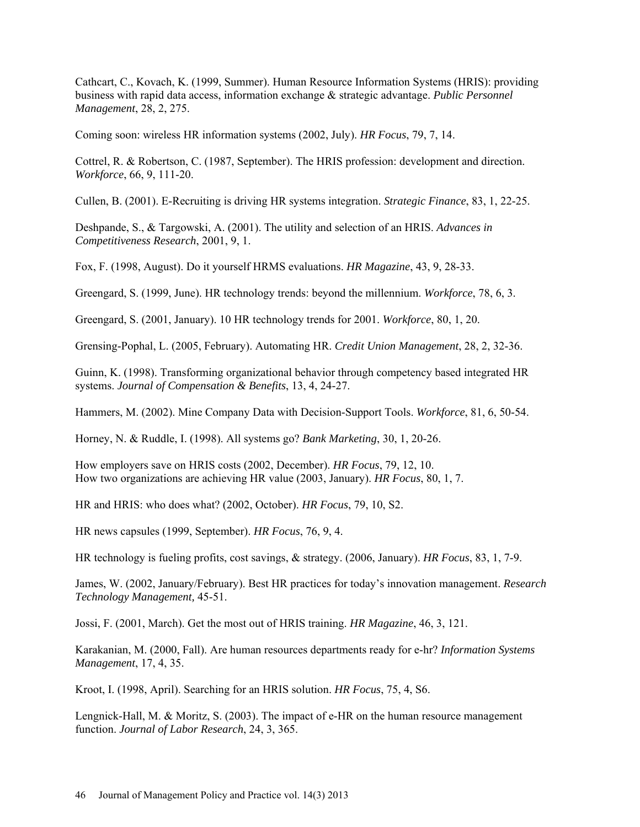Cathcart, C., Kovach, K. (1999, Summer). Human Resource Information Systems (HRIS): providing business with rapid data access, information exchange & strategic advantage. *Public Personnel Management*, 28, 2, 275.

Coming soon: wireless HR information systems (2002, July). *HR Focus*, 79, 7, 14.

Cottrel, R. & Robertson, C. (1987, September). The HRIS profession: development and direction. *Workforce*, 66, 9, 111-20.

Cullen, B. (2001). E-Recruiting is driving HR systems integration. *Strategic Finance*, 83, 1, 22-25.

Deshpande, S., & Targowski, A. (2001). The utility and selection of an HRIS. *Advances in Competitiveness Research*, 2001, 9, 1.

Fox, F. (1998, August). Do it yourself HRMS evaluations. *HR Magazine*, 43, 9, 28-33.

Greengard, S. (1999, June). HR technology trends: beyond the millennium. *Workforce*, 78, 6, 3.

Greengard, S. (2001, January). 10 HR technology trends for 2001. *Workforce*, 80, 1, 20.

Grensing-Pophal, L. (2005, February). Automating HR. *Credit Union Management*, 28, 2, 32-36.

Guinn, K. (1998). Transforming organizational behavior through competency based integrated HR systems. *Journal of Compensation & Benefits*, 13, 4, 24-27.

Hammers, M. (2002). Mine Company Data with Decision-Support Tools. *Workforce*, 81, 6, 50-54.

Horney, N. & Ruddle, I. (1998). All systems go? *Bank Marketing*, 30, 1, 20-26.

How employers save on HRIS costs (2002, December). *HR Focus*, 79, 12, 10. How two organizations are achieving HR value (2003, January). *HR Focus*, 80, 1, 7.

HR and HRIS: who does what? (2002, October). *HR Focus*, 79, 10, S2.

HR news capsules (1999, September). *HR Focus*, 76, 9, 4.

HR technology is fueling profits, cost savings, & strategy. (2006, January). *HR Focus*, 83, 1, 7-9.

James, W. (2002, January/February). Best HR practices for today's innovation management. *Research Technology Management,* 45-51.

Jossi, F. (2001, March). Get the most out of HRIS training. *HR Magazine*, 46, 3, 121.

Karakanian, M. (2000, Fall). Are human resources departments ready for e-hr? *Information Systems Management*, 17, 4, 35.

Kroot, I. (1998, April). Searching for an HRIS solution. *HR Focus*, 75, 4, S6.

Lengnick-Hall, M. & Moritz, S. (2003). The impact of e-HR on the human resource management function. *Journal of Labor Research*, 24, 3, 365.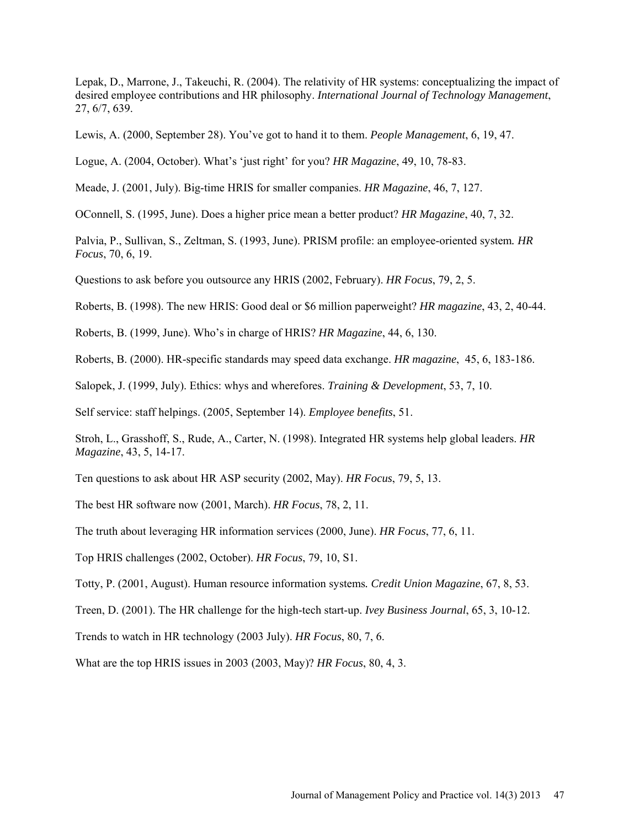Lepak, D., Marrone, J., Takeuchi, R. (2004). The relativity of HR systems: conceptualizing the impact of desired employee contributions and HR philosophy. *International Journal of Technology Management*, 27, 6/7, 639.

Lewis, A. (2000, September 28). You've got to hand it to them. *People Management*, 6, 19, 47.

Logue, A. (2004, October). What's 'just right' for you? *HR Magazine*, 49, 10, 78-83.

Meade, J. (2001, July). Big-time HRIS for smaller companies. *HR Magazine*, 46, 7, 127.

OConnell, S. (1995, June). Does a higher price mean a better product? *HR Magazine*, 40, 7, 32.

Palvia, P., Sullivan, S., Zeltman, S. (1993, June). PRISM profile: an employee-oriented system*. HR Focus*, 70, 6, 19.

Questions to ask before you outsource any HRIS (2002, February). *HR Focus*, 79, 2, 5.

Roberts, B. (1998). The new HRIS: Good deal or \$6 million paperweight? *HR magazine*, 43, 2, 40-44.

Roberts, B. (1999, June). Who's in charge of HRIS? *HR Magazine*, 44, 6, 130.

Roberts, B. (2000). HR-specific standards may speed data exchange. *HR magazine*, 45, 6, 183-186.

Salopek, J. (1999, July). Ethics: whys and wherefores. *Training & Development*, 53, 7, 10.

Self service: staff helpings. (2005, September 14). *Employee benefits*, 51.

Stroh, L., Grasshoff, S., Rude, A., Carter, N. (1998). Integrated HR systems help global leaders. *HR Magazine*, 43, 5, 14-17.

Ten questions to ask about HR ASP security (2002, May). *HR Focus*, 79, 5, 13.

The best HR software now (2001, March). *HR Focus*, 78, 2, 11.

The truth about leveraging HR information services (2000, June). *HR Focus*, 77, 6, 11.

Top HRIS challenges (2002, October). *HR Focus*, 79, 10, S1.

Totty, P. (2001, August). Human resource information systems*. Credit Union Magazine*, 67, 8, 53.

Treen, D. (2001). The HR challenge for the high-tech start-up. *Ivey Business Journal*, 65, 3, 10-12.

Trends to watch in HR technology (2003 July). *HR Focus*, 80, 7, 6.

What are the top HRIS issues in 2003 (2003, May)? *HR Focus*, 80, 4, 3.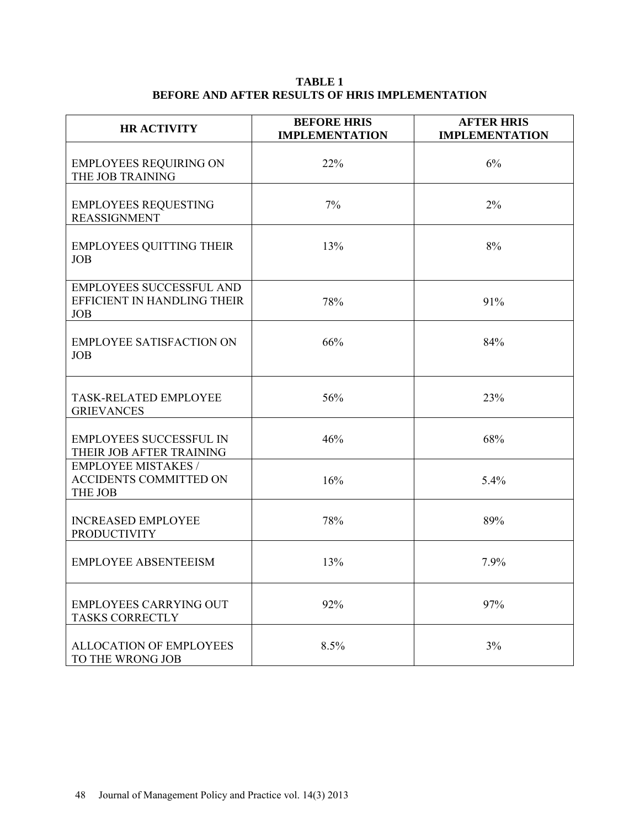# **TABLE 1 BEFORE AND AFTER RESULTS OF HRIS IMPLEMENTATION**

| <b>HR ACTIVITY</b>                                                           | <b>BEFORE HRIS</b><br><b>IMPLEMENTATION</b> | <b>AFTER HRIS</b><br><b>IMPLEMENTATION</b> |
|------------------------------------------------------------------------------|---------------------------------------------|--------------------------------------------|
| <b>EMPLOYEES REQUIRING ON</b><br>THE JOB TRAINING                            | 22%                                         | 6%                                         |
| <b>EMPLOYEES REQUESTING</b><br><b>REASSIGNMENT</b>                           | 7%                                          | 2%                                         |
| <b>EMPLOYEES QUITTING THEIR</b><br><b>JOB</b>                                | 13%                                         | 8%                                         |
| <b>EMPLOYEES SUCCESSFUL AND</b><br>EFFICIENT IN HANDLING THEIR<br><b>JOB</b> | 78%                                         | 91%                                        |
| <b>EMPLOYEE SATISFACTION ON</b><br><b>JOB</b>                                | 66%                                         | 84%                                        |
| <b>TASK-RELATED EMPLOYEE</b><br><b>GRIEVANCES</b>                            | 56%                                         | 23%                                        |
| <b>EMPLOYEES SUCCESSFUL IN</b><br>THEIR JOB AFTER TRAINING                   | 46%                                         | 68%                                        |
| <b>EMPLOYEE MISTAKES /</b><br>ACCIDENTS COMMITTED ON<br>THE JOB              | 16%                                         | 5.4%                                       |
| <b>INCREASED EMPLOYEE</b><br><b>PRODUCTIVITY</b>                             | 78%                                         | 89%                                        |
| <b>EMPLOYEE ABSENTEEISM</b>                                                  | 13%                                         | 7.9%                                       |
| <b>EMPLOYEES CARRYING OUT</b><br><b>TASKS CORRECTLY</b>                      | 92%                                         | 97%                                        |
| <b>ALLOCATION OF EMPLOYEES</b><br>TO THE WRONG JOB                           | 8.5%                                        | 3%                                         |